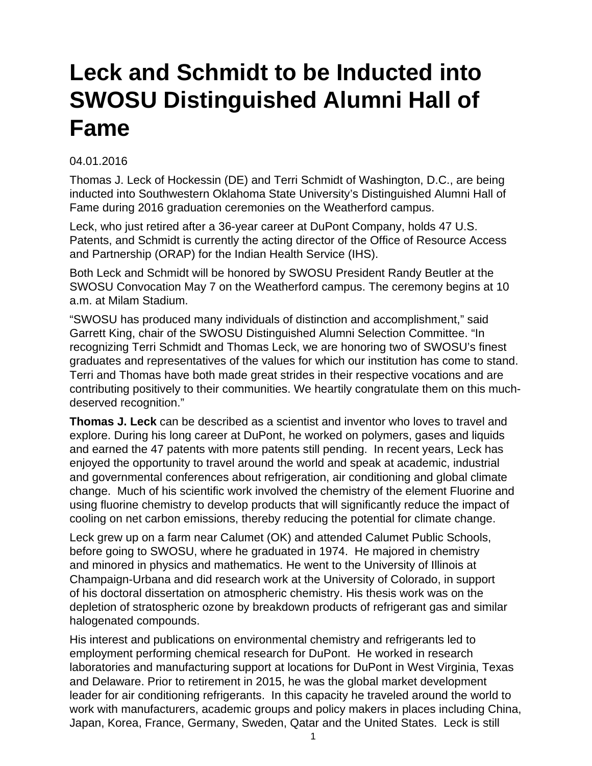## **Leck and Schmidt to be Inducted into SWOSU Distinguished Alumni Hall of Fame**

## 04.01.2016

Thomas J. Leck of Hockessin (DE) and Terri Schmidt of Washington, D.C., are being inducted into Southwestern Oklahoma State University's Distinguished Alumni Hall of Fame during 2016 graduation ceremonies on the Weatherford campus.

Leck, who just retired after a 36-year career at DuPont Company, holds 47 U.S. Patents, and Schmidt is currently the acting director of the Office of Resource Access and Partnership (ORAP) for the Indian Health Service (IHS).

Both Leck and Schmidt will be honored by SWOSU President Randy Beutler at the SWOSU Convocation May 7 on the Weatherford campus. The ceremony begins at 10 a.m. at Milam Stadium.

"SWOSU has produced many individuals of distinction and accomplishment," said Garrett King, chair of the SWOSU Distinguished Alumni Selection Committee. "In recognizing Terri Schmidt and Thomas Leck, we are honoring two of SWOSU's finest graduates and representatives of the values for which our institution has come to stand. Terri and Thomas have both made great strides in their respective vocations and are contributing positively to their communities. We heartily congratulate them on this muchdeserved recognition."

**Thomas J. Leck** can be described as a scientist and inventor who loves to travel and explore. During his long career at DuPont, he worked on polymers, gases and liquids and earned the 47 patents with more patents still pending. In recent years, Leck has enjoyed the opportunity to travel around the world and speak at academic, industrial and governmental conferences about refrigeration, air conditioning and global climate change. Much of his scientific work involved the chemistry of the element Fluorine and using fluorine chemistry to develop products that will significantly reduce the impact of cooling on net carbon emissions, thereby reducing the potential for climate change.

Leck grew up on a farm near Calumet (OK) and attended Calumet Public Schools, before going to SWOSU, where he graduated in 1974. He majored in chemistry and minored in physics and mathematics. He went to the University of Illinois at Champaign-Urbana and did research work at the University of Colorado, in support of his doctoral dissertation on atmospheric chemistry. His thesis work was on the depletion of stratospheric ozone by breakdown products of refrigerant gas and similar halogenated compounds.

His interest and publications on environmental chemistry and refrigerants led to employment performing chemical research for DuPont. He worked in research laboratories and manufacturing support at locations for DuPont in West Virginia, Texas and Delaware. Prior to retirement in 2015, he was the global market development leader for air conditioning refrigerants. In this capacity he traveled around the world to work with manufacturers, academic groups and policy makers in places including China, Japan, Korea, France, Germany, Sweden, Qatar and the United States. Leck is still